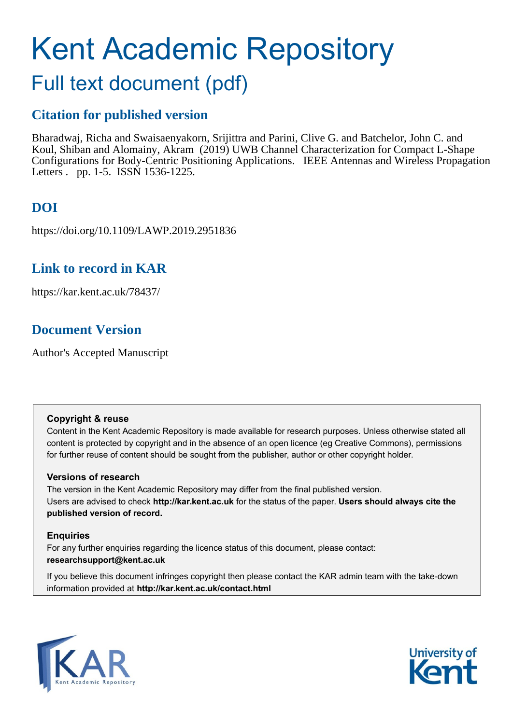# Kent Academic Repository

# Full text document (pdf)

### **Citation for published version**

Bharadwaj, Richa and Swaisaenyakorn, Srijittra and Parini, Clive G. and Batchelor, John C. and Koul, Shiban and Alomainy, Akram (2019) UWB Channel Characterization for Compact L-Shape Configurations for Body-Centric Positioning Applications. IEEE Antennas and Wireless Propagation Letters . pp. 1-5. ISSN 1536-1225.

# **DOI**

https://doi.org/10.1109/LAWP.2019.2951836

### **Link to record in KAR**

https://kar.kent.ac.uk/78437/

# **Document Version**

Author's Accepted Manuscript

### **Copyright & reuse**

Content in the Kent Academic Repository is made available for research purposes. Unless otherwise stated all content is protected by copyright and in the absence of an open licence (eg Creative Commons), permissions for further reuse of content should be sought from the publisher, author or other copyright holder.

### **Versions of research**

The version in the Kent Academic Repository may differ from the final published version. Users are advised to check **http://kar.kent.ac.uk** for the status of the paper. **Users should always cite the published version of record.**

### **Enquiries**

For any further enquiries regarding the licence status of this document, please contact: **researchsupport@kent.ac.uk**

If you believe this document infringes copyright then please contact the KAR admin team with the take-down information provided at **http://kar.kent.ac.uk/contact.html**



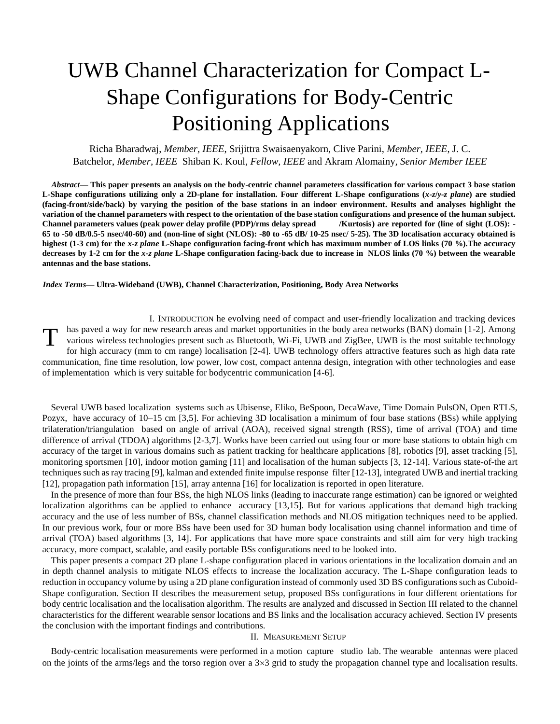# UWB Channel Characterization for Compact L-Shape Configurations for Body-Centric Positioning Applications

Richa Bharadwaj, *Member, IEEE*, Srijittra Swaisaenyakorn, Clive Parini, *Member, IEEE*, J. C. Batchelor, *Member, IEEE* Shiban K. Koul, *Fellow, IEEE* and Akram Alomainy*, Senior Member IEEE*

*Abstract***— This paper presents an analysis on the body-centric channel parameters classification for various compact 3 base station L-Shape configurations utilizing only a 2D-plane for installation. Four different L-Shape configurations (***x-z***/***y-z plane***) are studied (facing-front/side/back) by varying the position of the base stations in an indoor environment. Results and analyses highlight the variation of the channel parameters with respect to the orientation of the base station configurations and presence of the human subject. Channel parameters values (peak power delay profile (PDP)/rms delay spread /Kurtosis) are reported for (line of sight (LOS): - 65 to -50 dB/0.5-5 nsec/40-60) and (non-line of sight (NLOS): -80 to -65 dB/ 10-25 nsec/ 5-25). The 3D localisation accuracy obtained is highest (1-3 cm) for the** *x-z plane* **L-Shape configuration facing-front which has maximum number of LOS links (70 %).The accuracy decreases by 1-2 cm for the** *x-z plane* **L-Shape configuration facing-back due to increase in NLOS links (70 %) between the wearable antennas and the base stations.** 

### *Index Terms***— Ultra-Wideband (UWB), Channel Characterization, Positioning, Body Area Networks**

I. INTRODUCTION he evolving need of compact and user-friendly localization and tracking devices has paved a way for new research areas and market opportunities in the body area networks (BAN) domain [1-2]. Among various wireless technologies present such as Bluetooth, Wi-Fi, UWB and ZigBee, UWB is the most suitable technology for high accuracy (mm to cm range) localisation [2-4]. UWB technology offers attractive features such as high data rate communication, fine time resolution, low power, low cost, compact antenna design, integration with other technologies and ease of implementation which is very suitable for bodycentric communication [4-6]. T

Several UWB based localization systems such as Ubisense, Eliko, BeSpoon, DecaWave, Time Domain PulsON, Open RTLS, Pozyx, have accuracy of 10–15 cm [3,5]. For achieving 3D localisation a minimum of four base stations (BSs) while applying trilateration/triangulation based on angle of arrival (AOA), received signal strength (RSS), time of arrival (TOA) and time difference of arrival (TDOA) algorithms [2-3,7]. Works have been carried out using four or more base stations to obtain high cm accuracy of the target in various domains such as patient tracking for healthcare applications [8], robotics [9], asset tracking [5], monitoring sportsmen [10], indoor motion gaming [11] and localisation of the human subjects [3, 12-14]. Various state-of-the art techniques such as ray tracing [9], kalman and extended finite impulse response filter [12-13], integrated UWB and inertial tracking [12], propagation path information [15], array antenna [16] for localization is reported in open literature.

In the presence of more than four BSs, the high NLOS links (leading to inaccurate range estimation) can be ignored or weighted localization algorithms can be applied to enhance accuracy [13,15]. But for various applications that demand high tracking accuracy and the use of less number of BSs, channel classification methods and NLOS mitigation techniques need to be applied. In our previous work, four or more BSs have been used for 3D human body localisation using channel information and time of arrival (TOA) based algorithms [3, 14]. For applications that have more space constraints and still aim for very high tracking accuracy, more compact, scalable, and easily portable BSs configurations need to be looked into.

This paper presents a compact 2D plane L-shape configuration placed in various orientations in the localization domain and an in depth channel analysis to mitigate NLOS effects to increase the localization accuracy. The L-Shape configuration leads to reduction in occupancy volume by using a 2D plane configuration instead of commonly used 3D BS configurations such as Cuboid-Shape configuration. Section II describes the measurement setup, proposed BSs configurations in four different orientations for body centric localisation and the localisation algorithm. The results are analyzed and discussed in Section III related to the channel characteristics for the different wearable sensor locations and BS links and the localisation accuracy achieved. Section IV presents the conclusion with the important findings and contributions.

#### II. MEASUREMENT SETUP

Body-centric localisation measurements were performed in a motion capture studio lab. The wearable antennas were placed on the joints of the arms/legs and the torso region over a  $3\times3$  grid to study the propagation channel type and localisation results.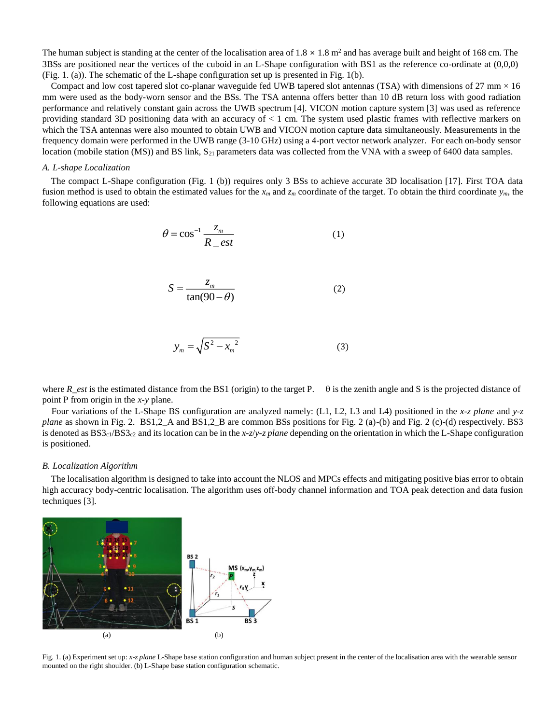The human subject is standing at the center of the localisation area of  $1.8 \times 1.8$  m<sup>2</sup> and has average built and height of 168 cm. The 3BSs are positioned near the vertices of the cuboid in an L-Shape configuration with BS1 as the reference co-ordinate at (0,0,0) (Fig. 1. (a)). The schematic of the L-shape configuration set up is presented in Fig. 1(b).

Compact and low cost tapered slot co-planar waveguide fed UWB tapered slot antennas (TSA) with dimensions of  $27 \text{ mm} \times 16$ mm were used as the body-worn sensor and the BSs. The TSA antenna offers better than 10 dB return loss with good radiation performance and relatively constant gain across the UWB spectrum [4]. VICON motion capture system [3] was used as reference providing standard 3D positioning data with an accuracy of < 1 cm. The system used plastic frames with reflective markers on which the TSA antennas were also mounted to obtain UWB and VICON motion capture data simultaneously. Measurements in the frequency domain were performed in the UWB range (3-10 GHz) using a 4-port vector network analyzer. For each on-body sensor location (mobile station (MS)) and BS link, S<sub>21</sub> parameters data was collected from the VNA with a sweep of 6400 data samples.

### *A. L-shape Localization*

The compact L-Shape configuration (Fig. 1 (b)) requires only 3 BSs to achieve accurate 3D localisation [17]. First TOA data fusion method is used to obtain the estimated values for the  $x_m$  and  $z_m$  coordinate of the target. To obtain the third coordinate  $y_m$ , the following equations are used:

$$
\theta = \cos^{-1} \frac{z_m}{R_{\text{eff}}}
$$
 (1)

$$
S = \frac{z_m}{\tan(90 - \theta)}\tag{2}
$$

$$
y_m = \sqrt{S^2 - x_m^2} \tag{3}
$$

where  $R_{est}$  is the estimated distance from the BS1 (origin) to the target P.  $\theta$  is the zenith angle and S is the projected distance of point P from origin in the *x-y* plane.

 Four variations of the L-Shape BS configuration are analyzed namely: (L1, L2, L3 and L4) positioned in the *x-z plane* and *y-z plane* as shown in Fig. 2. BS1,2\_A and BS1,2\_B are common BSs positions for Fig. 2 (a)-(b) and Fig. 2 (c)-(d) respectively. BS3 is denoted as  $BS3<sub>c1</sub>/BS3<sub>c2</sub>$  and its location can be in the *x-z/y-z plane* depending on the orientation in which the L-Shape configuration is positioned.

### *B. Localization Algorithm*

The localisation algorithm is designed to take into account the NLOS and MPCs effects and mitigating positive bias error to obtain high accuracy body-centric localisation. The algorithm uses off-body channel information and TOA peak detection and data fusion techniques [3].



Fig. 1. (a) Experiment set up: *x-z plane* L-Shape base station configuration and human subject present in the center of the localisation area with the wearable sensor mounted on the right shoulder. (b) L-Shape base station configuration schematic.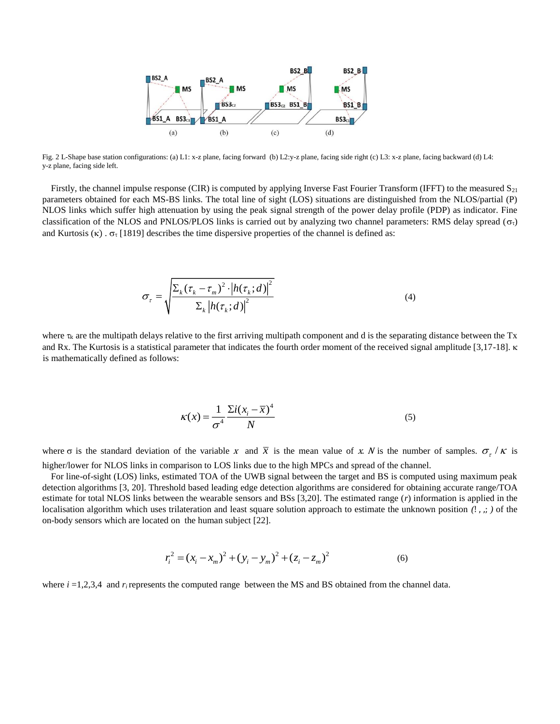

Fig. 2 L-Shape base station configurations: (a) L1: x-z plane, facing forward (b) L2:y-z plane, facing side right (c) L3: x-z plane, facing backward (d) L4: y-z plane, facing side left.

Firstly, the channel impulse response (CIR) is computed by applying Inverse Fast Fourier Transform (IFFT) to the measured  $S_{21}$ parameters obtained for each MS-BS links. The total line of sight (LOS) situations are distinguished from the NLOS/partial (P) NLOS links which suffer high attenuation by using the peak signal strength of the power delay profile (PDP) as indicator. Fine classification of the NLOS and PNLOS/PLOS links is carried out by analyzing two channel parameters: RMS delay spread ( $\sigma_{\tau}$ ) and Kurtosis ( $\kappa$ ).  $\sigma_{\tau}$  [1819] describes the time dispersive properties of the channel is defined as:

$$
\sigma_{\tau} = \sqrt{\frac{\sum_{k} (\tau_{k} - \tau_{m})^{2} \cdot \left| h(\tau_{k}; d) \right|^{2}}{\sum_{k} \left| h(\tau_{k}; d) \right|^{2}}}
$$
(4)

where  $\tau_k$  are the multipath delays relative to the first arriving multipath component and d is the separating distance between the Tx and Rx. The Kurtosis is a statistical parameter that indicates the fourth order moment of the received signal amplitude [3,17-18].  $\kappa$ is mathematically defined as follows:

$$
\kappa(x) = \frac{1}{\sigma^4} \frac{\Sigma i (x_i - \overline{x})^4}{N}
$$
\n(5)

where  $\sigma$  is the standard deviation of the variable x and  $\bar{x}$  is the mean value of x. N is the number of samples.  $\sigma_{\tau}/\kappa$  is higher/lower for NLOS links in comparison to LOS links due to the high MPCs and spread of the channel.

For line-of-sight (LOS) links, estimated TOA of the UWB signal between the target and BS is computed using maximum peak detection algorithms [3, 20]. Threshold based leading edge detection algorithms are considered for obtaining accurate range/TOA estimate for total NLOS links between the wearable sensors and BSs [3,20]. The estimated range (*r*) information is applied in the localisation algorithm which uses trilateration and least square solution approach to estimate the unknown position *(*! , ,; *)* of the on-body sensors which are located on the human subject [22].

$$
r_i^2 = (x_i - x_m)^2 + (y_i - y_m)^2 + (z_i - z_m)^2
$$
 (6)

where  $i = 1,2,3,4$  and  $r_i$  represents the computed range between the MS and BS obtained from the channel data.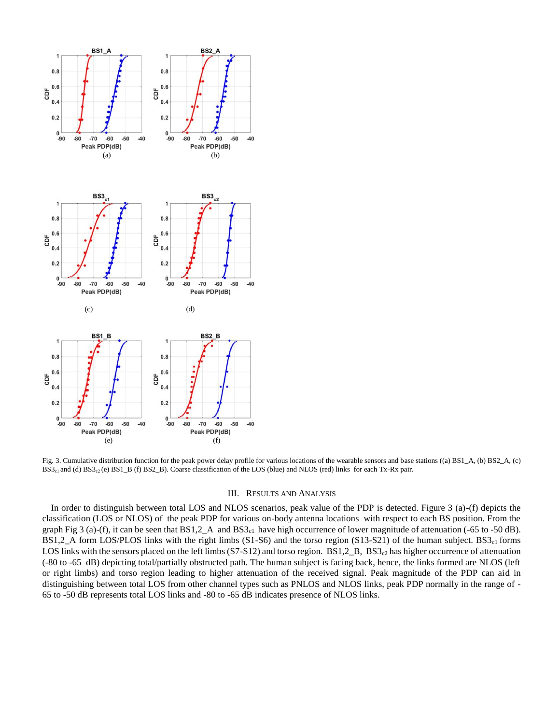

Fig. 3. Cumulative distribution function for the peak power delay profile for various locations of the wearable sensors and base stations ((a) BS1\_A, (b) BS2\_A, (c)  $BS3<sub>c1</sub>$  and (d)  $BS3<sub>c2</sub>$  (e)  $BS1_B$  (f)  $BS2_B$ ). Coarse classification of the LOS (blue) and NLOS (red) links for each Tx-Rx pair.

### III. RESULTS AND ANALYSIS

In order to distinguish between total LOS and NLOS scenarios, peak value of the PDP is detected. Figure 3 (a)-(f) depicts the classification (LOS or NLOS) of the peak PDP for various on-body antenna locations with respect to each BS position. From the graph Fig 3 (a)-(f), it can be seen that  $BS1,2_A$  and  $BS3_{c1}$  have high occurrence of lower magnitude of attenuation (-65 to -50 dB). BS1,2\_A form LOS/PLOS links with the right limbs (S1-S6) and the torso region (S13-S21) of the human subject. BS3<sub>c1</sub> forms LOS links with the sensors placed on the left limbs (S7-S12) and torso region. BS1,2\_B, BS3<sub>c2</sub> has higher occurrence of attenuation (-80 to -65 dB) depicting total/partially obstructed path. The human subject is facing back, hence, the links formed are NLOS (left or right limbs) and torso region leading to higher attenuation of the received signal. Peak magnitude of the PDP can aid in distinguishing between total LOS from other channel types such as PNLOS and NLOS links, peak PDP normally in the range of - 65 to -50 dB represents total LOS links and -80 to -65 dB indicates presence of NLOS links.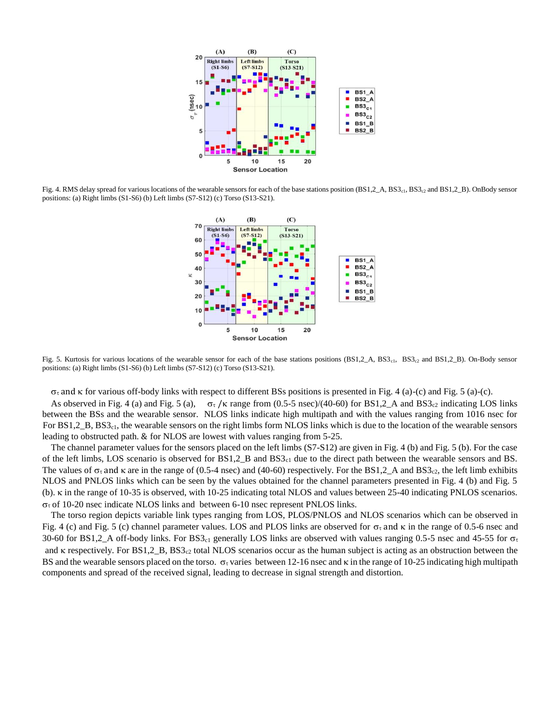

Fig. 4. RMS delay spread for various locations of the wearable sensors for each of the base stations position (BS1,2\_A, BS3<sub>c1</sub>, BS3<sub>c2</sub> and BS1,2\_B). OnBody sensor positions: (a) Right limbs (S1-S6) (b) Left limbs (S7-S12) (c) Torso (S13-S21).



Fig. 5. Kurtosis for various locations of the wearable sensor for each of the base stations positions  $(BS1,2_A, BS3_{c1}$ , BS3<sub>c2</sub> and BS1,2<sub>\_</sub>B). On-Body sensor positions: (a) Right limbs (S1-S6) (b) Left limbs (S7-S12) (c) Torso (S13-S21).

 $\sigma_{\tau}$  and  $\kappa$  for various off-body links with respect to different BSs positions is presented in Fig. 4 (a)-(c) and Fig. 5 (a)-(c).

As observed in Fig. 4 (a) and Fig. 5 (a),  $\sigma_{\tau}/\kappa$  range from (0.5-5 nsec)/(40-60) for BS1,2\_A and BS3<sub>c2</sub> indicating LOS links between the BSs and the wearable sensor. NLOS links indicate high multipath and with the values ranging from 1016 nsec for For BS1,2<sub>B</sub>, BS3<sub>c1</sub>, the wearable sensors on the right limbs form NLOS links which is due to the location of the wearable sensors leading to obstructed path. & for NLOS are lowest with values ranging from 5-25.

The channel parameter values for the sensors placed on the left limbs (S7-S12) are given in Fig. 4 (b) and Fig. 5 (b). For the case of the left limbs, LOS scenario is observed for  $BS1,2\_B$  and  $BS3<sub>c1</sub>$  due to the direct path between the wearable sensors and BS. The values of  $\sigma_{\tau}$  and  $\kappa$  are in the range of (0.5-4 nsec) and (40-60) respectively. For the BS1,2 A and BS3<sub>c2</sub>, the left limb exhibits NLOS and PNLOS links which can be seen by the values obtained for the channel parameters presented in Fig. 4 (b) and Fig. 5 (b).  $\kappa$  in the range of 10-35 is observed, with 10-25 indicating total NLOS and values between 25-40 indicating PNLOS scenarios.  $\sigma_{\tau}$  of 10-20 nsec indicate NLOS links and between 6-10 nsec represent PNLOS links.

The torso region depicts variable link types ranging from LOS, PLOS/PNLOS and NLOS scenarios which can be observed in Fig. 4 (c) and Fig. 5 (c) channel parameter values. LOS and PLOS links are observed for  $\sigma_t$  and  $\kappa$  in the range of 0.5-6 nsec and 30-60 for BS1,2\_A off-body links. For BS3<sub>c1</sub> generally LOS links are observed with values ranging 0.5-5 nsec and 45-55 for  $\sigma_{\tau}$ and  $\kappa$  respectively. For BS1,2 B, BS3<sub>c2</sub> total NLOS scenarios occur as the human subject is acting as an obstruction between the BS and the wearable sensors placed on the torso.  $\sigma_{\tau}$  varies between 12-16 nsec and  $\kappa$  in the range of 10-25 indicating high multipath components and spread of the received signal, leading to decrease in signal strength and distortion.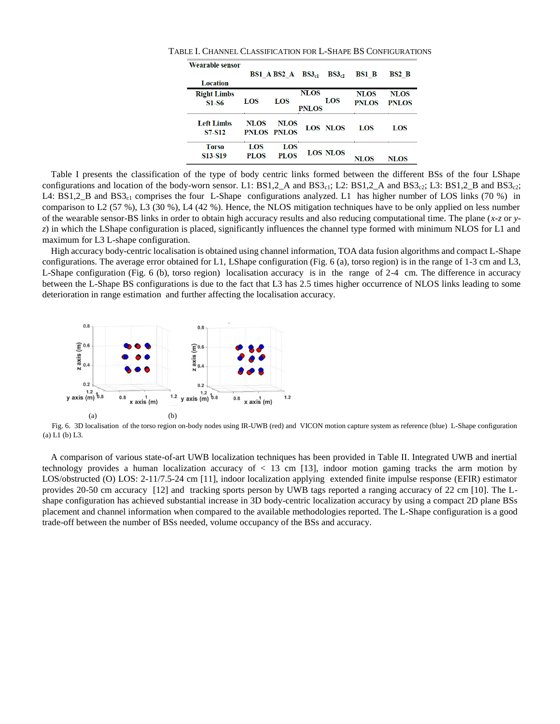| <b>Wearable sensor</b>           |             |             |                   |                 |              |              |  |
|----------------------------------|-------------|-------------|-------------------|-----------------|--------------|--------------|--|
|                                  |             | BS1 A BS2 A | BS3 <sub>cl</sub> | $BS3_{c2}$      | <b>BS1 B</b> | BS2 B        |  |
| <b>Location</b>                  |             |             |                   |                 |              |              |  |
| <b>Right Limbs</b>               |             |             | <b>NLOS</b>       |                 | NLOS         | NLOS         |  |
| $S1-S6$                          | LOS         | LOS         |                   | LOS             | <b>PNLOS</b> | <b>PNLOS</b> |  |
| <b>PNLOS</b>                     |             |             |                   |                 |              |              |  |
| <b>Left Limbs</b>                | <b>NLOS</b> | <b>NLOS</b> |                   |                 |              |              |  |
| S7-S12                           |             | PNLOS PNLOS |                   | <b>LOS NLOS</b> | LOS          | LOS          |  |
|                                  |             |             |                   |                 |              |              |  |
| <b>Torso</b>                     | LOS         | LOS         |                   | <b>LOS NLOS</b> |              |              |  |
| S <sub>13</sub> -S <sub>19</sub> | <b>PLOS</b> | PLOS        |                   |                 | NLOS         | NLOS         |  |

TABLE I. CHANNEL CLASSIFICATION FOR L-SHAPE BS CONFIGURATIONS

Table I presents the classification of the type of body centric links formed between the different BSs of the four LShape configurations and location of the body-worn sensor. L1:  $BS1,2_A$  and  $BS3c1$ ; L2:  $BS1,2_A$  and  $BS3c2$ ; L3:  $BS1,2_B$  and  $BS3c2$ ; L4:  $BS1,2\_B$  and  $BS3<sub>c1</sub>$  comprises the four L-Shape configurations analyzed. L1 has higher number of LOS links (70 %) in comparison to L2 (57 %), L3 (30 %), L4 (42 %). Hence, the NLOS mitigation techniques have to be only applied on less number of the wearable sensor-BS links in order to obtain high accuracy results and also reducing computational time. The plane (*x-z* or *yz*) in which the LShape configuration is placed, significantly influences the channel type formed with minimum NLOS for L1 and maximum for L3 L-shape configuration.

High accuracy body-centric localisation is obtained using channel information, TOA data fusion algorithms and compact L-Shape configurations. The average error obtained for L1, LShape configuration (Fig. 6 (a), torso region) is in the range of 1-3 cm and L3, L-Shape configuration (Fig. 6 (b), torso region) localisation accuracy is in the range of 2-4 cm. The difference in accuracy between the L-Shape BS configurations is due to the fact that L3 has 2.5 times higher occurrence of NLOS links leading to some deterioration in range estimation and further affecting the localisation accuracy.



Fig. 6. 3D localisation of the torso region on-body nodes using IR-UWB (red) and VICON motion capture system as reference (blue) L-Shape configuration (a) L1 (b) L3.

A comparison of various state-of-art UWB localization techniques has been provided in Table II. Integrated UWB and inertial technology provides a human localization accuracy of < 13 cm [13], indoor motion gaming tracks the arm motion by LOS/obstructed (O) LOS: 2-11/7.5-24 cm [11], indoor localization applying extended finite impulse response (EFIR) estimator provides 20-50 cm accuracy [12] and tracking sports person by UWB tags reported a ranging accuracy of 22 cm [10]. The Lshape configuration has achieved substantial increase in 3D body-centric localization accuracy by using a compact 2D plane BSs placement and channel information when compared to the available methodologies reported. The L-Shape configuration is a good trade-off between the number of BSs needed, volume occupancy of the BSs and accuracy.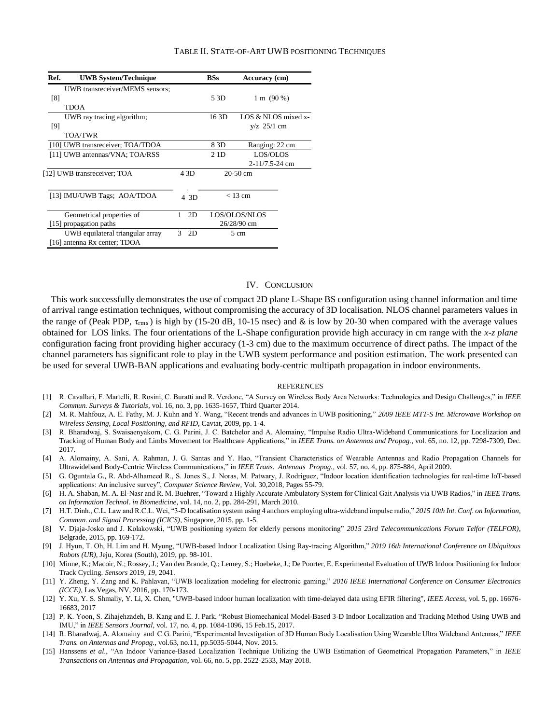#### TABLE II. STATE-OF-ART UWB POSITIONING TECHNIQUES

| Ref.                             | <b>UWB System/Technique</b>      |         | <b>BSs</b><br>Accuracy (cm) |                              |  |
|----------------------------------|----------------------------------|---------|-----------------------------|------------------------------|--|
|                                  | UWB transreceiver/MEMS sensors:  |         |                             |                              |  |
| [8]                              |                                  |         | 5 3D                        | $1 \text{ m} (90 \text{ %})$ |  |
|                                  | TDOA                             |         |                             |                              |  |
|                                  | UWB ray tracing algorithm;       |         | 16 3D                       | LOS & NLOS mixed x-          |  |
| [9]                              |                                  |         |                             | $y/z$ 25/1 cm                |  |
|                                  | <b>TOA/TWR</b>                   |         |                             |                              |  |
|                                  | [10] UWB transreceiver; TOA/TDOA |         | 8 3D                        | Ranging: 22 cm               |  |
| [11] UWB antennas/VNA; TOA/RSS   |                                  |         | 2 1 <sub>D</sub>            | LOS/OLOS                     |  |
|                                  |                                  |         |                             | 2-11/7.5-24 cm               |  |
|                                  | [12] UWB transreceiver; TOA      |         | $20-50$ cm                  |                              |  |
|                                  |                                  |         |                             |                              |  |
| [13] IMU/UWB Tags; AOA/TDOA      |                                  |         | $<$ 13 cm                   |                              |  |
|                                  |                                  | 4 3D    |                             |                              |  |
|                                  | Geometrical properties of        |         |                             | LOS/OLOS/NLOS                |  |
|                                  |                                  |         |                             | 26/28/90 cm                  |  |
| [15] propagation paths           |                                  |         |                             |                              |  |
| UWB equilateral triangular array |                                  | 2D<br>3 | 5 cm                        |                              |  |
|                                  | [16] antenna Rx center; TDOA     |         |                             |                              |  |

### IV. CONCLUSION

This work successfully demonstrates the use of compact 2D plane L-Shape BS configuration using channel information and time of arrival range estimation techniques, without compromising the accuracy of 3D localisation. NLOS channel parameters values in the range of (Peak PDP,  $\tau_{rms}$ ) is high by (15-20 dB, 10-15 nsec) and & is low by 20-30 when compared with the average values obtained for LOS links. The four orientations of the L-Shape configuration provide high accuracy in cm range with the *x-z plane* configuration facing front providing higher accuracy (1-3 cm) due to the maximum occurrence of direct paths. The impact of the channel parameters has significant role to play in the UWB system performance and position estimation. The work presented can be used for several UWB-BAN applications and evaluating body-centric multipath propagation in indoor environments.

### **REFERENCES**

- [1] R. Cavallari, F. Martelli, R. Rosini, C. Buratti and R. Verdone, "A Survey on Wireless Body Area Networks: Technologies and Design Challenges," in *IEEE Commun. Surveys & Tutorials*, vol. 16, no. 3, pp. 1635-1657, Third Quarter 2014.
- [2] M. R. Mahfouz, A. E. Fathy, M. J. Kuhn and Y. Wang, "Recent trends and advances in UWB positioning," *2009 IEEE MTT-S Int. Microwave Workshop on Wireless Sensing, Local Positioning, and RFID*, Cavtat, 2009, pp. 1-4.
- [3] R. Bharadwaj, S. Swaisaenyakorn, C. G. Parini, J. C. Batchelor and A. Alomainy, "Impulse Radio Ultra-Wideband Communications for Localization and Tracking of Human Body and Limbs Movement for Healthcare Applications," in *IEEE Trans. on Antennas and Propag.*, vol. 65, no. 12, pp. 7298-7309, Dec. 2017.
- [4] A. Alomainy, A. Sani, A. Rahman, J. G. Santas and Y. Hao, "Transient Characteristics of Wearable Antennas and Radio Propagation Channels for Ultrawideband Body-Centric Wireless Communications," in *IEEE Trans. Antennas Propag.*, vol. 57, no. 4, pp. 875-884, April 2009.
- [5] G. Oguntala G., R. Abd-Alhameed R., S. Jones S., J. Noras, M. Patwary, J. Rodriguez, "Indoor location identification technologies for real-time IoT-based applications: An inclusive survey", *Computer Science Review*, Vol. 30,2018, Pages 55-79.
- [6] H. A. Shaban, M. A. El-Nasr and R. M. Buehrer, "Toward a Highly Accurate Ambulatory System for Clinical Gait Analysis via UWB Radios," in *IEEE Trans. on Information Technol. in Biomedicine*, vol. 14, no. 2, pp. 284-291, March 2010.
- [7] H.T. Dinh., C.L. Law and R.C.L. Wei, "3-D localisation system using 4 anchors employing ultra-wideband impulse radio," *2015 10th Int. Conf. on Information, Commun. and Signal Processing (ICICS)*, Singapore, 2015, pp. 1-5.
- [8] V. Djaja-Josko and J. Kolakowski, "UWB positioning system for elderly persons monitoring" *2015 23rd Telecommunications Forum Telfor (TELFOR)*, Belgrade, 2015, pp. 169-172.
- [9] J. Hyun, T. Oh, H. Lim and H. Myung, "UWB-based Indoor Localization Using Ray-tracing Algorithm," *2019 16th International Conference on Ubiquitous Robots (UR)*, Jeju, Korea (South), 2019, pp. 98-101.
- [10] Minne, K.; Macoir, N.; Rossey, J.; Van den Brande, Q.; Lemey, S.; Hoebeke, J.; De Poorter, E. Experimental Evaluation of UWB Indoor Positioning for Indoor Track Cycling. *Sensors* 2019, *19*, 2041.
- [11] Y. Zheng, Y. Zang and K. Pahlavan, "UWB localization modeling for electronic gaming," *2016 IEEE International Conference on Consumer Electronics (ICCE)*, Las Vegas, NV, 2016, pp. 170-173.
- [12] Y. Xu, Y. S. Shmaliy, Y. Li, X. Chen, "UWB-based indoor human localization with time-delayed data using EFIR filtering", *IEEE Access*, vol. 5, pp. 16676- 16683, 2017
- [13] P. K. Yoon, S. Zihajehzadeh, B. Kang and E. J. Park, "Robust Biomechanical Model-Based 3-D Indoor Localization and Tracking Method Using UWB and IMU," in *IEEE Sensors Journal*, vol. 17, no. 4, pp. 1084-1096, 15 Feb.15, 2017.
- [14] R. Bharadwaj, A. Alomainy and C.G. Parini, "Experimental Investigation of 3D Human Body Localisation Using Wearable Ultra Wideband Antennas," *IEEE Trans. on Antennas and Propag.*, vol.63, no.11, pp.5035-5044, Nov. 2015.
- [15] Hanssens *et al*., "An Indoor Variance-Based Localization Technique Utilizing the UWB Estimation of Geometrical Propagation Parameters," in *IEEE Transactions on Antennas and Propagation*, vol. 66, no. 5, pp. 2522-2533, May 2018.